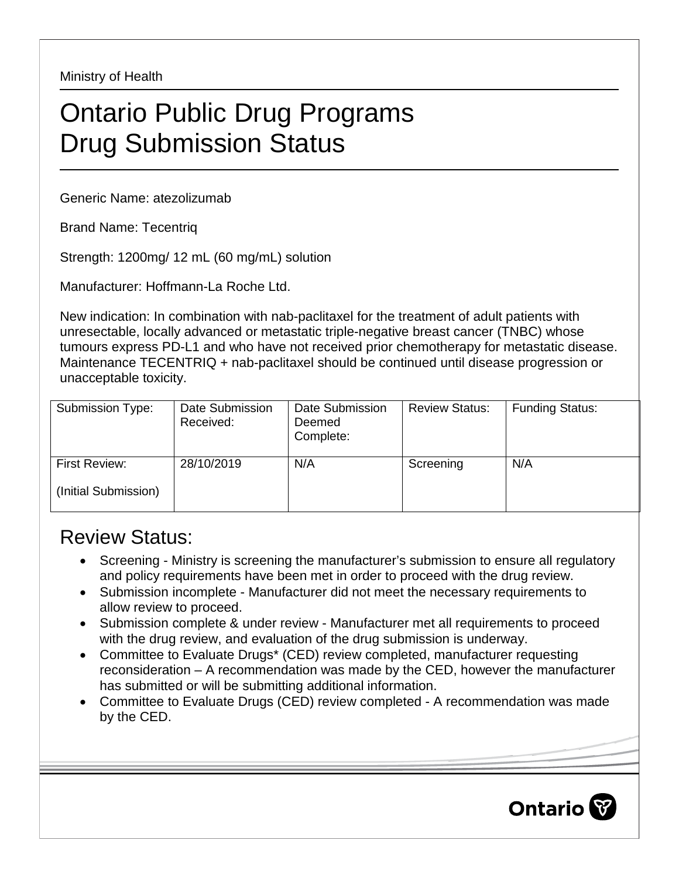Ministry of Health

## Ontario Public Drug Programs Drug Submission Status

Generic Name: atezolizumab

Brand Name: Tecentriq

Strength: 1200mg/ 12 mL (60 mg/mL) solution

Manufacturer: Hoffmann-La Roche Ltd.

New indication: In combination with nab-paclitaxel for the treatment of adult patients with unresectable, locally advanced or metastatic triple-negative breast cancer (TNBC) whose tumours express PD-L1 and who have not received prior chemotherapy for metastatic disease. Maintenance TECENTRIQ + nab-paclitaxel should be continued until disease progression or unacceptable toxicity.

| Submission Type:     | Date Submission<br>Received: | Date Submission<br>Deemed<br>Complete: | <b>Review Status:</b> | <b>Funding Status:</b> |
|----------------------|------------------------------|----------------------------------------|-----------------------|------------------------|
| First Review:        | 28/10/2019                   | N/A                                    | Screening             | N/A                    |
| (Initial Submission) |                              |                                        |                       |                        |

## Review Status:

- Screening Ministry is screening the manufacturer's submission to ensure all regulatory and policy requirements have been met in order to proceed with the drug review.
- Submission incomplete Manufacturer did not meet the necessary requirements to allow review to proceed.
- Submission complete & under review Manufacturer met all requirements to proceed with the drug review, and evaluation of the drug submission is underway.
- Committee to Evaluate Drugs\* (CED) review completed, manufacturer requesting reconsideration – A recommendation was made by the CED, however the manufacturer has submitted or will be submitting additional information.
- Committee to Evaluate Drugs (CED) review completed A recommendation was made by the CED.